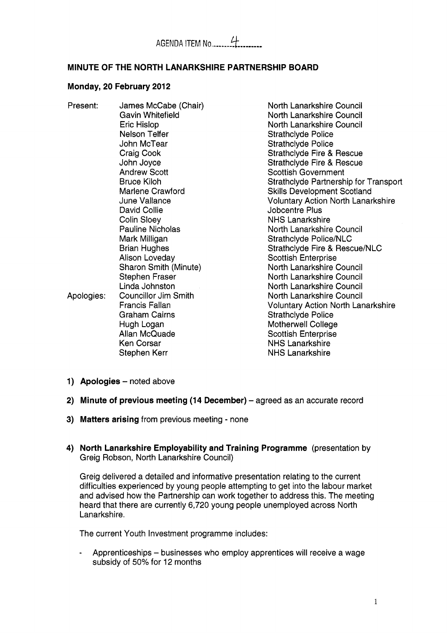## **MINUTE OF THE NORTH LANARKSHIRE PARTNERSHIP BOARD**

#### **Monday, 20 February 2012**

| Present:   | James McCabe (Chair)    | North Lanarkshire Council                 |
|------------|-------------------------|-------------------------------------------|
|            | Gavin Whitefield        | North Lanarkshire Council                 |
|            | Eric Hislop             | North Lanarkshire Council                 |
|            | Nelson Telfer           | <b>Strathclyde Police</b>                 |
|            | John McTear             | <b>Strathclyde Police</b>                 |
|            | Craig Cook              | Strathclyde Fire & Rescue                 |
|            | John Joyce              | <b>Strathclyde Fire &amp; Rescue</b>      |
|            | <b>Andrew Scott</b>     | <b>Scottish Government</b>                |
|            | <b>Bruce Kiloh</b>      | Strathclyde Partnership for Transport     |
|            | Marlene Crawford        | <b>Skills Development Scotland</b>        |
|            | June Vallance           | <b>Voluntary Action North Lanarkshire</b> |
|            | David Collie            | Jobcentre Plus                            |
|            | Colin Sloey             | <b>NHS Lanarkshire</b>                    |
|            | <b>Pauline Nicholas</b> | North Lanarkshire Council                 |
|            | Mark Milligan           | Strathclyde Police/NLC                    |
|            | <b>Brian Hughes</b>     | Strathclyde Fire & Rescue/NLC             |
|            | Alison Loveday          | <b>Scottish Enterprise</b>                |
|            | Sharon Smith (Minute)   | North Lanarkshire Council                 |
|            | <b>Stephen Fraser</b>   | North Lanarkshire Council                 |
|            | Linda Johnston          | North Lanarkshire Council                 |
| Apologies: | Councillor Jim Smith    | North Lanarkshire Council                 |
|            | Francis Fallan          | <b>Voluntary Action North Lanarkshire</b> |
|            | <b>Graham Cairns</b>    | <b>Strathclyde Police</b>                 |
|            | Hugh Logan              | Motherwell College                        |
|            | Allan McQuade           | <b>Scottish Enterprise</b>                |
|            | <b>Ken Corsar</b>       | <b>NHS Lanarkshire</b>                    |
|            | Stephen Kerr            | <b>NHS Lanarkshire</b>                    |
|            |                         |                                           |

- **1)** Apologies noted above
- **2) Minute of previous meeting (14 December)** agreed as an accurate record
- **Matters arising** from previous meeting none
- **North Lanarkshire Employability and Training Programme** (presentation by Greig Robson, North Lanarkshire Council)

Greig delivered a detailed and informative presentation relating to the current difficulties experienced by young people attempting to get into the labour market and advised how the Partnership can work together to address this. The meeting heard that there are currently 6,720 young people unemployed across North Lanarkshire.

The current Youth Investment programme includes:

- Apprenticeships – businesses who employ apprentices will receive a wage subsidy of 50% for 12 months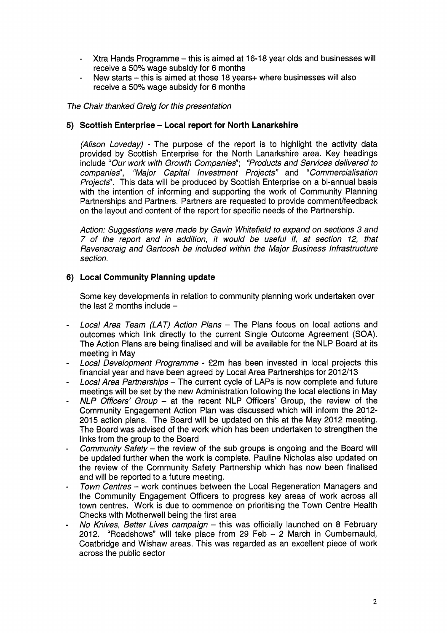- Xtra Hands Programme - this is aimed at 16-18 year olds and businesses will receive a 50% wage subsidy for 6 months
- New starts - this is aimed at those 18 years+ where businesses will also receive a 50% wage subsidy for 6 months

*The Chair thanked Greig for this presentation* 

## **Scottish Enterprise** - **Local report for North Lanarkshire**

*(Alison Loveday)* - The purpose of the report is to highlight the activity data provided by Scottish Enterprise for the North Lanarkshire area. Key headings include *"Our work with Growth Companies"; "Products and Services delivered to companies", "Major Capital Investment Projects"* and *"Commercialisation Projects".* This data will be produced by Scottish Enterprise on a bi-annual basis with the intention of informing and supporting the work of Community Planning Partnerships and Partners. Partners are requested to provide comment/feedback on the layout and content of the report for specific needs of the Partnership.

*Action: Suggestions were made by Gavin Whitefield to expand on sections 3 and 7 of the report and in addition, it would be useful if, at section 12, that Ravenscraig and Gartcosh be included within the Major Business lnfrastructure section.* 

## **Local Community Planning update**

Some key developments in relation to community planning work undertaken over the last 2 months include  $-$ 

- Local Area Team (LAT) Action Plans The Plans focus on local actions and outcomes which link directly to the current Single Outcome Agreement (SOA). The Action Plans are being finalised and will be available for the NLP Board at its meeting in May
- *Local Development Programme*  f2m has been invested in local projects this financial year and have been agreed by Local Area Partnerships for 2012/13
- *Local Area Partnerships*  The current cycle of LAPS is now complete and future meetings will be set by the new Administration following the local elections in May
- *NLP Officers' Group* at the recent NLP Officers' Group, the review of the Community Engagement Action Plan was discussed which will inform the 2012- 2015 action plans. The Board will be updated on this at the May 2012 meeting. The Board was advised of the work which has been undertaken to strengthen the links from the group to the Board
- *Community Safety the review of the sub groups is ongoing and the Board will* be updated further when the work is complete. Pauline Nicholas also updated on the review of the Community Safety Partnership which has now been finalised and will be reported to a future meeting.
- *Town Centres work continues between the Local Regeneration Managers and* the Community Engagement Officers to progress key areas of work across all town centres. Work is due to commence on prioritising the Town Centre Health Checks with Motherwell being the first area
- *No Knives, Better Lives campaign this was officially launched on 8 February* 2012. "Roadshows" will take place from 29 Feb - 2 March in Cumbernauld, Coatbridge and Wishaw areas. This was regarded as an excellent piece of work across the public sector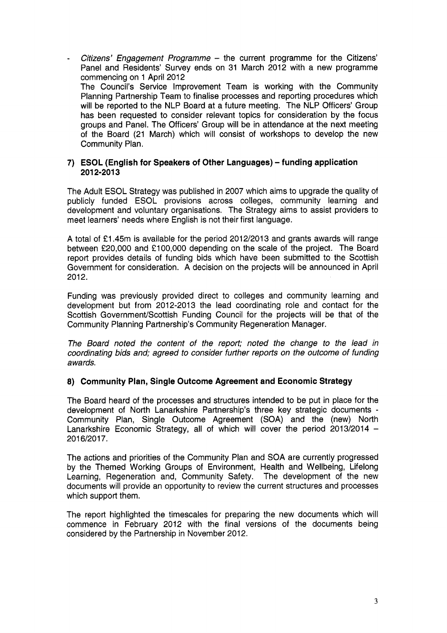- *Citizens' Engagement Programme* - the current programme for the Citizens' Panel and Residents' Survey ends on 31 March 2012 with a new programme commencing on 1 April 2012 The Council's Service Improvement Team is working with the Community Planning Partnership Team to finalise processes and reporting procedures which will be reported to the NLP Board at a future meeting. The NLP Officers' Group has been requested to consider relevant topics for consideration by the focus groups and Panel. The Officers' Group will be in attendance at the next meeting of the Board (21 March) which will consist of workshops to develop the new Community Plan.

#### **7) ESOL (English for Speakers of Other Languages)** - **funding application 201 2-201 3**

The Adult ESOL Strategy was published in 2007 which aims to upgrade the quality of publicly funded ESOL provisions across colleges, community learning and development and voluntary organisations. The Strategy aims to assist providers to meet learners' needs where English is not their first language.

A total of €1.45m is available for the period 2012/2013 and grants awards will range between €20,000 and €100,000 depending on the scale of the project. The Board report provides details of funding bids which have been submitted to the Scottish Government for consideration. A decision on the projects will be announced in April 2012.

Funding was previously provided direct to colleges and community learning and development but from 2012-2013 the lead coordinating role and contact for the Scottish GovernmentScottish Funding Council for the projects will be that of the Community Planning Partnership's Community Regeneration Manager.

*The Board noted the content of the report; noted the change to the lead in coordinating bids and; agreed to consider further reports on the outcome of funding awards.* 

## **8) Community Plan, Single Outcome Agreement and Economic Strategy**

The Board heard of the processes and structures intended to be put in place for the development of North Lanarkshire Partnership's three key strategic documents - Community Plan, Single Outcome Agreement (SOA) and the (new) North Lanarkshire Economic Strategy, all of which will cover the period  $2013/2014 -$ 201 6/2017.

The actions and priorities of the Community Plan and SOA are currently progressed by the Themed Working Groups of Environment, Health and Wellbeing, Lifelong Learning, Regeneration and, Community Safety. The development of the new documents will provide an opportunity to review the current structures and processes which support them.

The report highlighted the timescales for preparing the new documents which will commence in February 2012 with the final versions of the documents being considered by the Partnership in November 2012.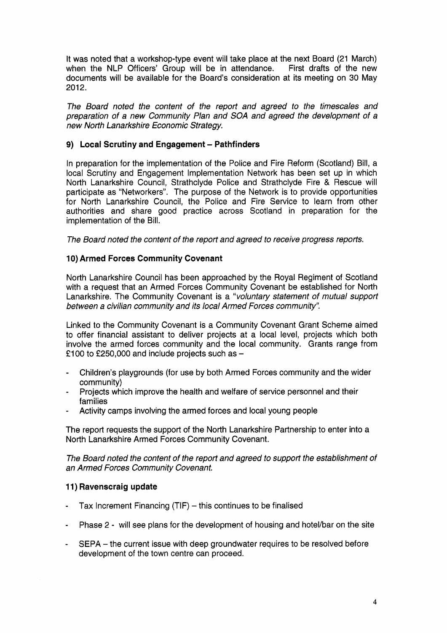It was noted that a workshop-type event will take place at the next Board (21 March) when the NLP Officers' Group will be in attendance. First drafts of the new documents will be available for the Board's consideration at its meeting on 30 May 2012.

*The Board noted the content of the report and agreed to the timescales and preparation of a new Community Plan and SOA and agreed the development of a new North Lanarkshire Economic Strategy.* 

## **9)** Local Scrutiny and Engagement - Pathfinders

In preparation for the implementation of the Police and Fire Reform (Scotland) Bill, a local Scrutiny and Engagement Implementation Network has been set up in which North Lanarkshire Council, Strathclyde Police and Strathclyde Fire & Rescue will participate as "Networkers". The purpose of the Network is to provide opportunities for North Lanarkshire Council, the Police and Fire Service to learn from other authorities and share good practice across Scotland in preparation for the implementation of the Bill.

*The Board noted the content of the report and agreed to receive progress reports.* 

## **10) Armed Forces Community Covenant**

North Lanarkshire Council has been approached by the Royal Regiment of Scotland with a request that an Armed Forces Community Covenant be established for North Lanarkshire. The Community Covenant is a *"voluntary statement of mutual support between a civilian community and its local Armed Forces community".* 

Linked to the Community Covenant is a Community Covenant Grant Scheme aimed to offer financial assistant to deliver projects at a local level, projects which both involve the armed forces community and the local community. Grants range from £100 to £250,000 and include projects such as  $-$ 

- Children's playgrounds (for use by both Armed Forces community and the wider community)
- Projects which improve the health and welfare of service personnel and their families
- Activity camps involving the armed forces and local young people

The report requests the support of the North Lanarkshire Partnership to enter into a North Lanarkshire Armed Forces Community Covenant.

*The Board noted the content of the report and agreed to support the establishment of an Armed Forces Community Covenant.* 

## **11) Ravenscraig update**

- Tax Increment Financing  $(TIF)$  this continues to be finalised
- Phase 2 will see plans for the development of housing and hotel/bar on the site
- SEPA the current issue with deep groundwater requires to be resolved before development of the town centre can proceed.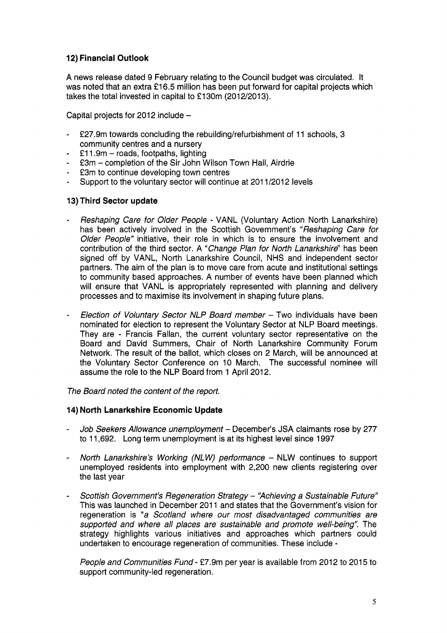# **12) Financial Outlook**

A news release dated 9 February relating to the Council budget was circulated. It was noted that an extra £16.5 million has been put forward for capital projects which takes the total invested in capital to  $£130m$  (2012/2013).

Capital projects for 2012 include  $-$ 

- £27.9m towards concluding the rebuilding/refurbishment of 11 schools, 3 community centres and a nursery
- £11.9m - roads, footpaths, lighting
- €3m completion of the Sir John Wilson Town Hall, Airdrie
- £3m to continue developing town centres
- Support to the voluntary sector will continue at 201 1/2012 levels

## **13) Third Sector update**

- *Reshaping Care for Older People*  VANL (Voluntary Action North Lanarkshire) has been actively involved in the Scottish Government's *"Reshaping Care for Older People"* initiative, their role in which is to ensure the involvement and contribution of the third sector. A *"Change Plan for North Lanarkshire"* has been signed off by VANL, North Lanarkshire Council, NHS and independent sector partners. The aim of the plan is to move care from acute and institutional settings to community based approaches. A number of events have been planned which will ensure that VANL is appropriately represented with planning and delivery processes and to maximise its involvement in shaping future plans.
- *Election of Voluntary Sector NLP Board member*  Two individuals have been nominated for election to represent the Voluntary Sector at NLP Board meetings. They are - Francis Fallan, the current voluntary sector representative on the Board and David Summers, Chair of North Lanarkshire Community Forum Network. The result of the ballot, which closes on 2 March, will be announced at the Voluntary Sector Conference on 10 March. The successful nominee will assume the role to the NLP Board from 1 April 2012.

*The Board noted the content of the report.* 

## **14) North Lanarkshire Economic Update**

- *Job Seekers Allowance unemployment*  December's JSA claimants rose by 277 to 11,692. Long term unemployment is at its highest level since 1997
- *North Lanarkshire's Working (NLW) performance*  NLW continues to support unemployed residents into employment with 2,200 new clients registering over the last year
- *Scottish Government's Regeneration Strategy 'Hchieving a Sustainable Future"*  This was launched in December 2011 and states that the Government's vision for regeneration is "a Scotland where our most disadvantaged communities are *supported and where all places are sustainable and promote well-being".* The strategy highlights various initiatives and approaches which partners could undertaken to encourage regeneration of communities. These include -

*People and Communities Fund - £7.9m per year is available from 2012 to 2015 to* support community-led regeneration.